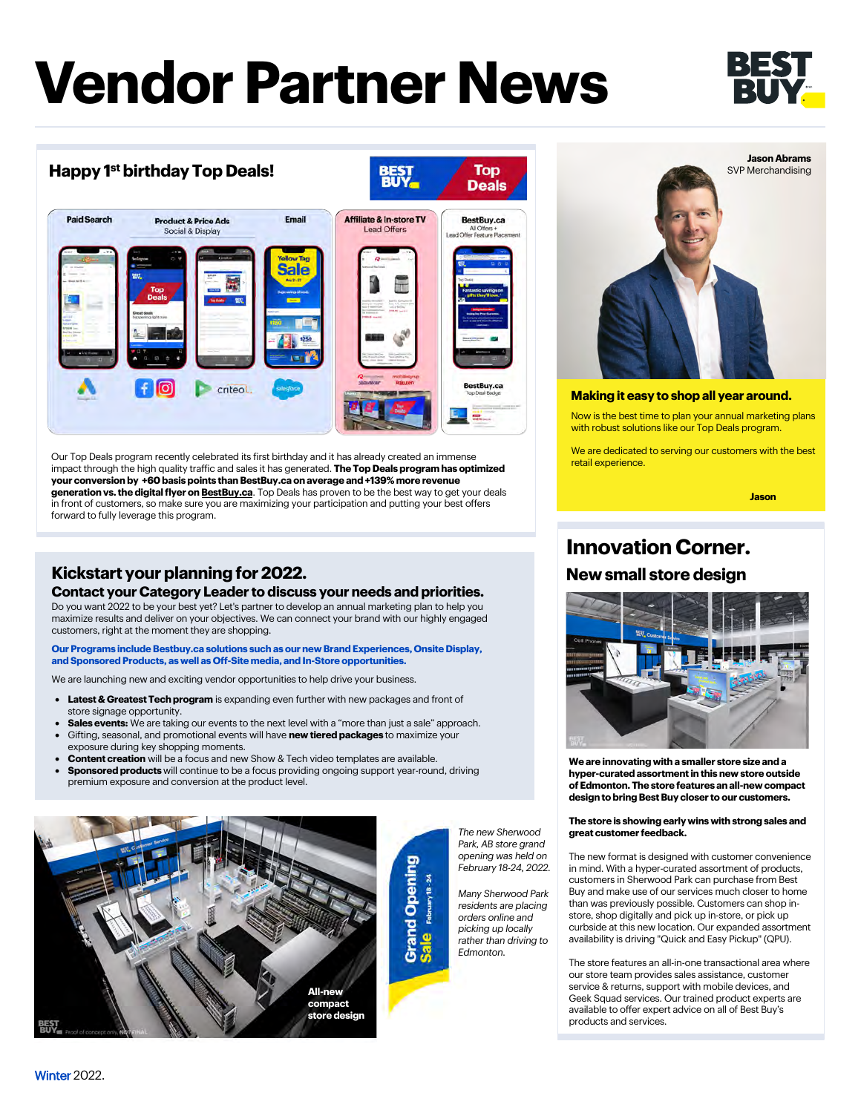# **Vendor Partner News**



### **Happy 1 st birthday Top Deals!**



Our Top Deals program recently celebrated its first birthday and it has already created an immense impact through the high quality traffic and sales it has generated. **The Top Deals program has optimized your conversion by +60 basis points than BestBuy.ca on average and +139% more revenue generation vs. the digital flyer o[n BestBuy.ca](www.bestbuy.ca)**. Top Deals has proven to be the best way to get your deals in front of customers, so make sure you are maximizing your participation and putting your best offers forward to fully leverage this program.

### **Kickstart your planning for 2022. New small store design**

#### **Contact your Category Leaderto discuss your needs and priorities.**

Do you want 2022 to be your best yet? Let's partner to develop an annual marketing plan to help you maximize results and deliver on your objectives. We can connect your brand with our highly engaged customers, right at the moment they are shopping.

**Our Programs include Bestbuy.ca solutions such as our new Brand Experiences, Onsite Display, and Sponsored Products, as well as Off-Site media, and In-Store opportunities.** 

We are launching new and exciting vendor opportunities to help drive your business.

- **Latest & Greatest Tech program** is expanding even further with new packages and front of store signage opportunity.
- **Sales events:** We are taking our events to the next level with a "more than just a sale" approach.
- Gifting, seasonal, and promotional events will have **new tiered packages** to maximize your exposure during key shopping moments.
- **Content creation** will be a focus and new Show & Tech video templates are available.
- **Sponsored products** will continue to be a focus providing ongoing support year-round, driving premium exposure and conversion at the product level.



*The new Sherwood Park, AB store grand opening was held on February 18-24, 2022.*

February 18-24

Top

*Many Sherwood Park residents are placing orders online and picking up locally rather than driving to Edmonton.*



#### **Making it easy to shop all year around.**

Now is the best time to plan your annual marketing plans with robust solutions like our Top Deals program.

We are dedicated to serving our customers with the best retail experience.

**Jason**

## **Innovation Corner.**



**We are innovating with a smaller store size and a hyper-curated assortment in this new store outside of Edmonton. The store features an all-new compact design to bring Best Buy closer to our customers.**

#### **The store is showing early wins with strong sales and great customer feedback.**

The new format is designed with customer convenience in mind. With a hyper-curated assortment of products, customers in Sherwood Park can purchase from Best Buy and make use of our services much closer to home than was previously possible. Customers can shop instore, shop digitally and pick up in-store, or pick up curbside at this new location. Our expanded assortment availability is driving "Quick and Easy Pickup" (QPU).

The store features an all-in-one transactional area where our store team provides sales assistance, customer service & returns, support with mobile devices, and Geek Squad services. Our trained product experts are available to offer expert advice on all of Best Buy's products and services.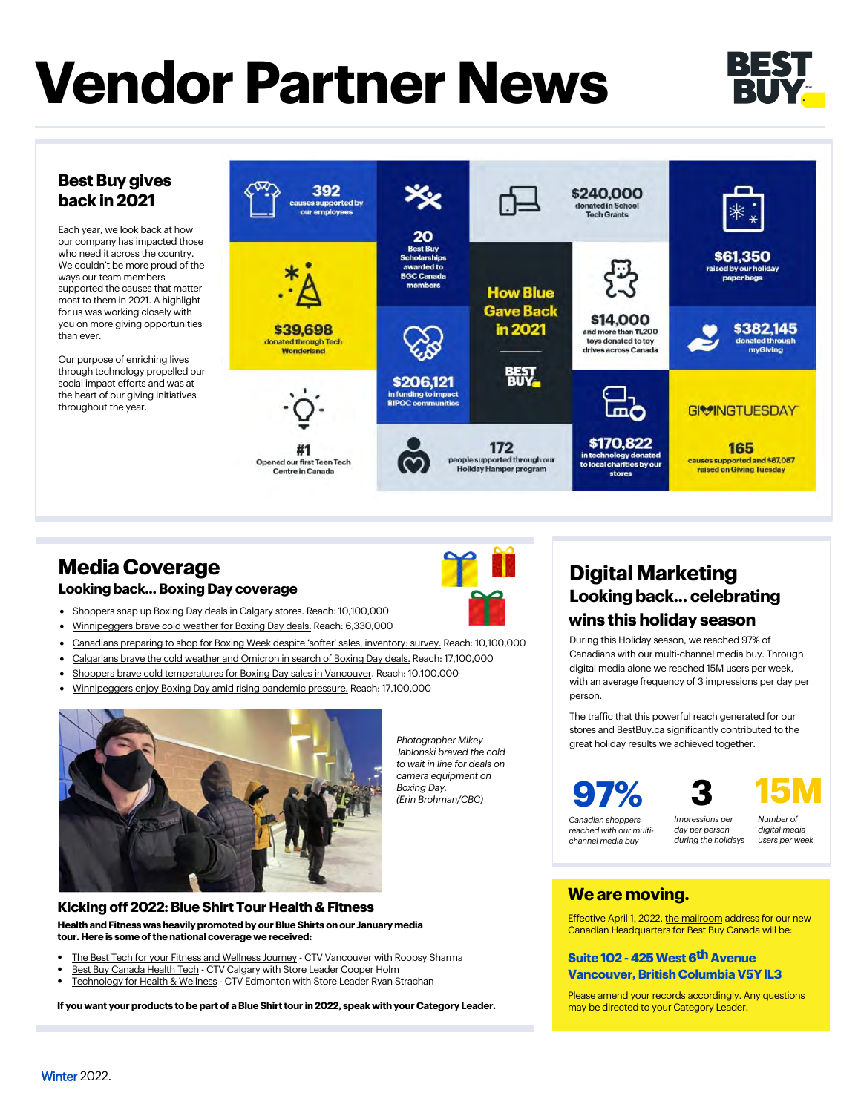# **Vendor Partner News**



#### **Best Buy gives back in 2021**

Each year, we look back at how our company has impacted those who need it across the country. We couldn't be more proud of the ways our team members supported the causes that matter most to them in 2021. A highlight for us was working closely with you on more giving opportunities than ever.

Our purpose of enriching lives through technology propelled our social impact efforts and was at the heart of our giving initiatives throughout the year.



## **Media Coverage**

#### **Looking back... Boxing Day coverage**



- [Shoppers snap up Boxing Day deals in Calgary stores. Reach: 10,100,000](https://globalnews.ca/news/8474854/boxing-day-deals-in-calgary/) • [Winnipeggers brave cold weather for Boxing Day deals.](https://www.cbc.ca/news/canada/manitoba/winnipeg-boxing-day-2021-1.6298500) Reach: 6,330,000
- [Canadians preparing to shop for Boxing Week despite 'softer' sales,](https://globalnews.ca/news/8474403/boxing-week-survey-covid-canada/) inventory: survey. Reach: 10,100,000
- 
- [Calgarians brave the cold weather and Omicron in search of Boxing Day deals.](https://calgary.ctvnews.ca/calgarians-brave-the-cold-weather-and-omicron-in-search-of-boxing-day-deals-1.5720147) Reach: 17,100,000
- [Shoppers brave cold temperatures for Boxing Day sales in Vancouver. Reach: 10,100,000](https://globalnews.ca/news/8474904/boxing-day-vancouver/) • [Winnipeggers enjoy Boxing Day amid rising pandemic pressure.](https://winnipeg.ctvnews.ca/winnipeggers-enjoy-boxing-day-amid-rising-pandemic-pressure-1.5720174) Reach: 17,100,000
- 



*Jablonski braved the cold to wait in line for deals on camera equipment on Boxing Day. (Erin Brohman/CBC)*

*Photographer Mikey* 

## **Digital Marketing Looking back... celebrating**

### **wins this holiday season**

During this Holiday season, we reached 97% of Canadians with our multi-channel media buy. Through digital media alone we reached 15M users per week, with an average frequency of 3 impressions per day per person.

The traffic that this powerful reach generated for our stores and BestB[uy.ca](www.bestbuy.ca) significantly contributed to the great holiday results we achieved together.





*Canadian shoppers reached with our multichannel media buy*

*Impressions per day per person during the holidays*

*Number of digital media users per week*

#### **We are moving.**

Effective April 1, 2022, the mailroom address for our new Canadian Headquarters for Best Buy Canada will be:

#### **Suite 102 - 425 West 6th Avenue Vancouver, British Columbia V5Y lL3**

Please amend your records accordingly. Any questions

#### **Kicking off 2022: Blue Shirt Tour Health & Fitness Health and Fitness was heavily promoted by our Blue Shirts on our January media tour. Here is some of the national coverage we received:**

- [The Best Tech for your Fitness and Wellness Journey - CTV Vancouver with Roopsy Sharma](https://bc.ctvnews.ca/video?clipId=2355958&binId=1.1184756&playlistPageNum=1)
- [Best Buy Canada Health Tech - CTV Calgary with Store Leader Cooper Holm](https://calgary.ctvnews.ca/video?clipId=2354151&binId=1.1201941&playlistPageNum=1)
- [Technology for Health & Wellness - CTV Edmonton with Store Leader Ryan Strachan](https://edmonton.ctvnews.ca/video?clipId=2362143&binId=1.1203468&playlistPageNum=1)

may be directed to your Category Leader. **If you want your products to be part of a Blue Shirt tour in 2022, speak with your Category Leader.**